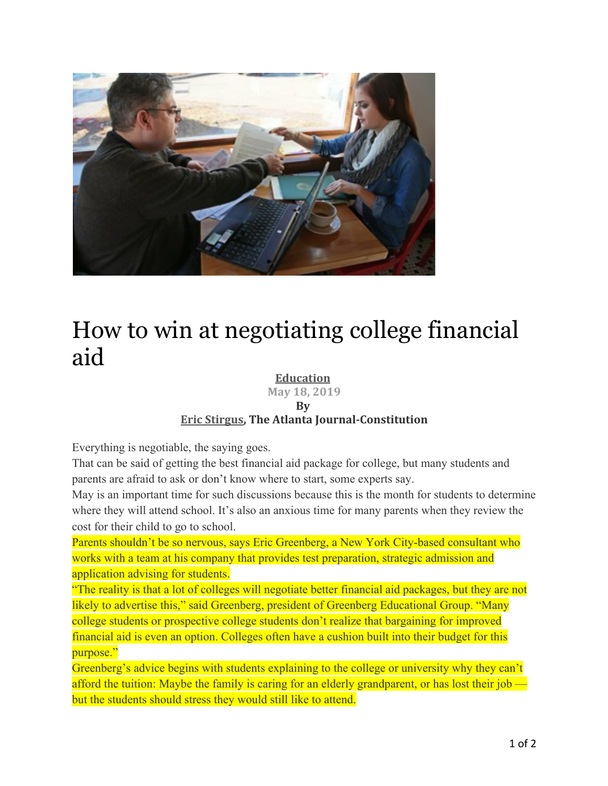

## How to win at negotiating college financial aid

## **Education**

**May 18, 2019**

## **By**

## **Eric Stirgus, The Atlanta Journal-Constitution**

Everything is negotiable, the saying goes.

That can be said of getting the best financial aid package for college, but many students and parents are afraid to ask or don't know where to start, some experts say.

May is an important time for such discussions because this is the month for students to determine where they will attend school. It's also an anxious time for many parents when they review the cost for their child to go to school.

Parents shouldn't be so nervous, says Eric Greenberg, a New York City-based consultant who works with a team at his company that provides test preparation, strategic admission and application advising for students.

"The reality is that a lot of colleges will negotiate better financial aid packages, but they are not likely to advertise this," said Greenberg, president of Greenberg Educational Group. "Many college students or prospective college students don't realize that bargaining for improved financial aid is even an option. Colleges often have a cushion built into their budget for this purpose."

Greenberg's advice begins with students explaining to the college or university why they can't afford the tuition: Maybe the family is caring for an elderly grandparent, or has lost their job but the students should stress they would still like to attend.